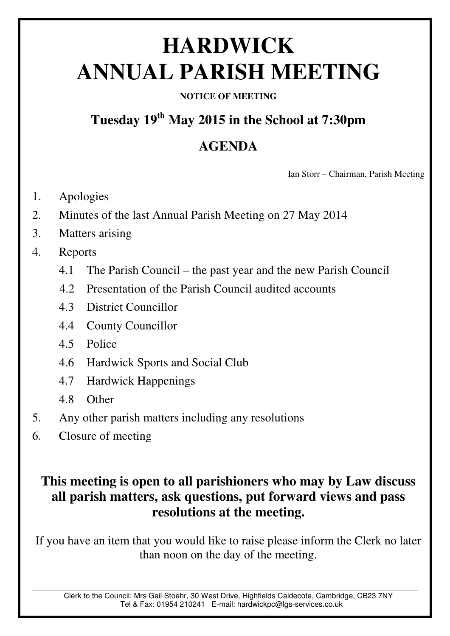# **HARDWICK ANNUAL PARISH MEETING**

### **NOTICE OF MEETING**

# **Tuesday 19th May 2015 in the School at 7:30pm**

## **AGENDA**

Ian Storr – Chairman, Parish Meeting

- 1. Apologies
- 2. Minutes of the last Annual Parish Meeting on 27 May 2014
- 3. Matters arising
- 4. Reports
	- 4.1 The Parish Council the past year and the new Parish Council
	- 4.2 Presentation of the Parish Council audited accounts
	- 4.3 District Councillor
	- 4.4 County Councillor
	- 4.5 Police
	- 4.6 Hardwick Sports and Social Club
	- 4.7 Hardwick Happenings
	- 4.8 Other
- 5. Any other parish matters including any resolutions
- 6. Closure of meeting

### **This meeting is open to all parishioners who may by Law discuss all parish matters, ask questions, put forward views and pass resolutions at the meeting.**

If you have an item that you would like to raise please inform the Clerk no later than noon on the day of the meeting.

Clerk to the Council: Mrs Gail Stoehr, 30 West Drive, Highfields Caldecote, Cambridge, CB23 7NY Tel & Fax: 01954 210241 E-mail: hardwickpc@lgs-services.co.uk